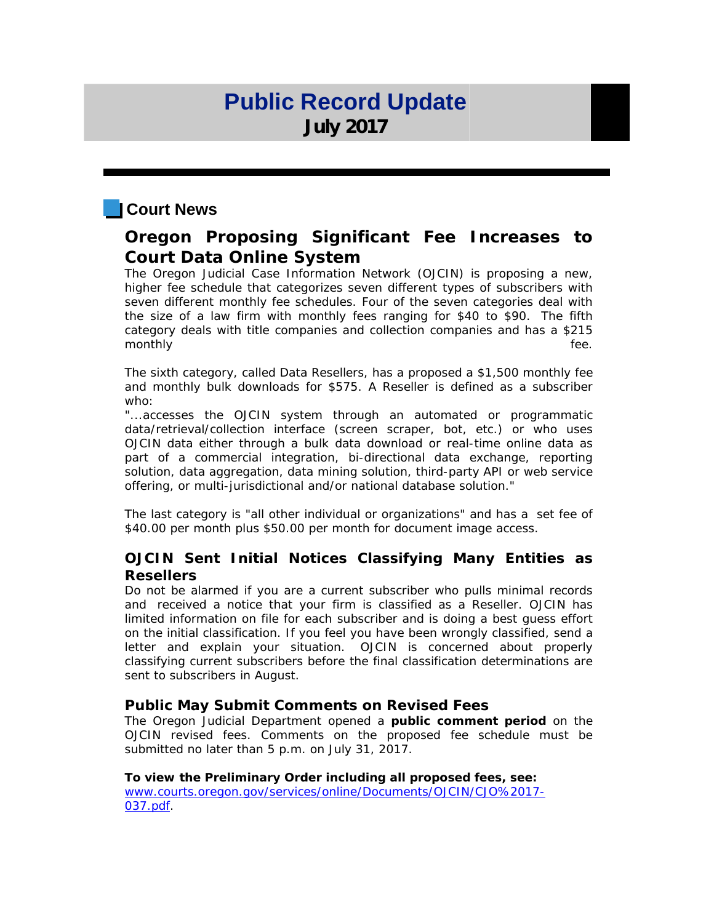## **Public Record Update July 2017**

### **Court News**

### **Oregon Proposing Significant Fee Increases to Court Data Online System**

The Oregon Judicial Case Information Network (OJCIN) is proposing a new, higher fee schedule that categorizes seven different types of subscribers with seven different monthly fee schedules. Four of the seven categories deal with the size of a law firm with monthly fees ranging for \$40 to \$90. The fifth category deals with title companies and collection companies and has a \$215 monthly fee.

The sixth category, called Data Resellers, has a proposed a \$1,500 monthly fee and monthly bulk downloads for \$575. A Reseller is defined as a subscriber who:

"...accesses the OJCIN system through an automated or programmatic data/retrieval/collection interface (screen scraper, bot, etc.) or who uses OJCIN data either through a bulk data download or real-time online data as part of a commercial integration, bi-directional data exchange, reporting solution, data aggregation, data mining solution, third-party API or web service offering, or multi-jurisdictional and/or national database solution."

The last category is "all other individual or organizations" and has a set fee of \$40.00 per month plus \$50.00 per month for document image access.

### **OJCIN Sent Initial Notices Classifying Many Entities as Resellers**

Do not be alarmed if you are a current subscriber who pulls minimal records and received a notice that your firm is classified as a Reseller. OJCIN has limited information on file for each subscriber and is doing a best guess effort on the initial classification. If you feel you have been wrongly classified, send a letter and explain your situation. OJCIN is concerned about properly classifying current subscribers before the final classification determinations are sent to subscribers in August.

### **Public May Submit Comments on Revised Fees**

The Oregon Judicial Department opened a **public comment period** on the OJCIN revised fees. Comments on the proposed fee schedule must be submitted no later than 5 p.m. on July 31, 2017.

**To view the Preliminary Order including all proposed fees, see:** [www.courts.oregon.gov/services/online/Documents/OJCIN/CJO%2017-](http://r20.rs6.net/tn.jsp?f=001-rYn5b15oTP-wOqJRHTH4oyoN_peLoK56A3xqtk0AS8Ol-O1D3xrz_DHCa7cmlq7SF1DcHHTdR3PgLrnaeCWpiJgi8FZ7olFWiQRVqpbhTcT7z3IuK-Ksuf14_tmNYuoxMOmT9Bh5J3szOzrFehyrf8MOFORFZrka4PdWnRA1xn4E2KLKn1GFFcAgLszpMM3OlpaeXq_j4zHl0wU5yJOUTOwROCGYP4-59_G5bPjCICSSsJvaWXmSKhHD0FYFrGa&c=Px2YVoTsEax5_9CilMw73Q14IvI9q6xA0KNOef3D6AEIo-Xb_2wq8Q==&ch=v2E3K0616xM506h3cArp8L84wXuFwENL1RdpYi3fBjiwooAUMDP8kg==) [037.pdf.](http://r20.rs6.net/tn.jsp?f=001-rYn5b15oTP-wOqJRHTH4oyoN_peLoK56A3xqtk0AS8Ol-O1D3xrz_DHCa7cmlq7SF1DcHHTdR3PgLrnaeCWpiJgi8FZ7olFWiQRVqpbhTcT7z3IuK-Ksuf14_tmNYuoxMOmT9Bh5J3szOzrFehyrf8MOFORFZrka4PdWnRA1xn4E2KLKn1GFFcAgLszpMM3OlpaeXq_j4zHl0wU5yJOUTOwROCGYP4-59_G5bPjCICSSsJvaWXmSKhHD0FYFrGa&c=Px2YVoTsEax5_9CilMw73Q14IvI9q6xA0KNOef3D6AEIo-Xb_2wq8Q==&ch=v2E3K0616xM506h3cArp8L84wXuFwENL1RdpYi3fBjiwooAUMDP8kg==)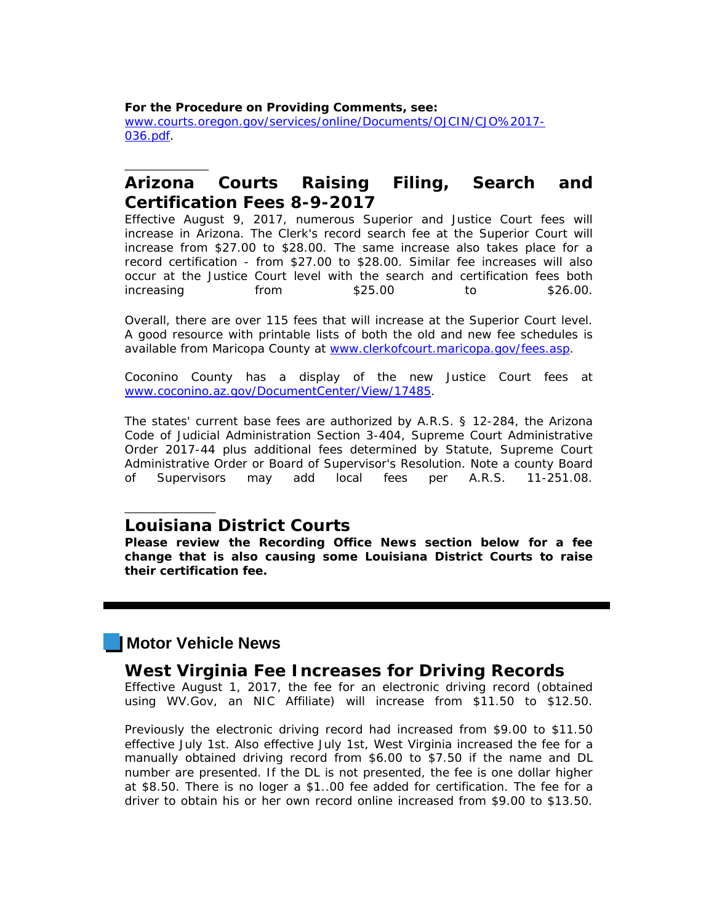**For the Procedure on Providing Comments, see:** [www.courts.oregon.gov/services/online/Documents/OJCIN/CJO%2017-](http://r20.rs6.net/tn.jsp?f=001-rYn5b15oTP-wOqJRHTH4oyoN_peLoK56A3xqtk0AS8Ol-O1D3xrz_DHCa7cmlq7zxmqqcJ5UShHx9P9omzMt1WkdEBw5BugsZWenfDMk8iqzMwZCzQu1bYyZBVIOFNeGjJglVzG4mo6dr57olqL2TbiNAVut70jkcS0-GUHAxRpkwBNZRuoVPNEAhar4l9EgWcWScQk8TxyMtv5oJ1-lzCdAY2DvTHRFIewqrUAeZKxi3VN0D_iv8ZZPWnPA3t3&c=Px2YVoTsEax5_9CilMw73Q14IvI9q6xA0KNOef3D6AEIo-Xb_2wq8Q==&ch=v2E3K0616xM506h3cArp8L84wXuFwENL1RdpYi3fBjiwooAUMDP8kg==) [036.pdf.](http://r20.rs6.net/tn.jsp?f=001-rYn5b15oTP-wOqJRHTH4oyoN_peLoK56A3xqtk0AS8Ol-O1D3xrz_DHCa7cmlq7zxmqqcJ5UShHx9P9omzMt1WkdEBw5BugsZWenfDMk8iqzMwZCzQu1bYyZBVIOFNeGjJglVzG4mo6dr57olqL2TbiNAVut70jkcS0-GUHAxRpkwBNZRuoVPNEAhar4l9EgWcWScQk8TxyMtv5oJ1-lzCdAY2DvTHRFIewqrUAeZKxi3VN0D_iv8ZZPWnPA3t3&c=Px2YVoTsEax5_9CilMw73Q14IvI9q6xA0KNOef3D6AEIo-Xb_2wq8Q==&ch=v2E3K0616xM506h3cArp8L84wXuFwENL1RdpYi3fBjiwooAUMDP8kg==)

### **Arizona Courts Raising Filing, Search and Certification Fees 8-9-2017**

Effective August 9, 2017, numerous Superior and Justice Court fees will increase in Arizona. The Clerk's record search fee at the Superior Court will increase from \$27.00 to \$28.00. The same increase also takes place for a record certification - from \$27.00 to \$28.00. Similar fee increases will also occur at the Justice Court level with the search and certification fees both increasing from \$25.00 to \$26.00.

Overall, there are over 115 fees that will increase at the Superior Court level. A good resource with printable lists of both the old and new fee schedules is available from Maricopa County at [www.clerkofcourt.maricopa.gov/fees.asp.](http://r20.rs6.net/tn.jsp?f=001-rYn5b15oTP-wOqJRHTH4oyoN_peLoK56A3xqtk0AS8Ol-O1D3xrz_DHCa7cmlq7uZ8ZNZOrdnKZR_BLihp6EfIOtVRKJkXE3af2ja6qHzTMR8AXMr0LGnr4dNO5VtL3c7FfYmaBK0PYqvs1aiwhvX0Ce1yQY4YN0lq11twHkMAhlhhz-zI453CEOxbsTOKBffS8YoFrIpU=&c=Px2YVoTsEax5_9CilMw73Q14IvI9q6xA0KNOef3D6AEIo-Xb_2wq8Q==&ch=v2E3K0616xM506h3cArp8L84wXuFwENL1RdpYi3fBjiwooAUMDP8kg==)

Coconino County has a display of the new Justice Court fees at [www.coconino.az.gov/DocumentCenter/View/17485.](http://r20.rs6.net/tn.jsp?f=001-rYn5b15oTP-wOqJRHTH4oyoN_peLoK56A3xqtk0AS8Ol-O1D3xrz_DHCa7cmlq7xnQUF9OnE7pSEclRbpg2MMW-gyQOg7E97B-fgPudCrd1lVDyaPoaRQNw6EzPvK-vvL2xOH4GiFIsTRWS_Dndluz492C97rck8Vl70d2EQHAodqtV7Qr-wzrqX3vgSTA7k0EsWX20YcEnimH5LY5SGQ==&c=Px2YVoTsEax5_9CilMw73Q14IvI9q6xA0KNOef3D6AEIo-Xb_2wq8Q==&ch=v2E3K0616xM506h3cArp8L84wXuFwENL1RdpYi3fBjiwooAUMDP8kg==)

The states' current base fees are authorized by A.R.S. § 12-284, the Arizona Code of Judicial Administration Section 3-404, Supreme Court Administrative Order 2017-44 plus additional fees determined by Statute, Supreme Court Administrative Order or Board of Supervisor's Resolution. Note a county Board of Supervisors may add local fees per A.R.S. 11-251.08.

**Louisiana District Courts**<br>Please review the Recording Office News section below for a fee **change that is also causing some Louisiana District Courts to raise their certification fee.**

### **Motor Vehicle News**

\_\_\_\_\_\_\_\_\_\_\_\_\_

\_\_\_\_\_\_\_\_\_\_\_\_

# **West Virginia Fee Increases for Driving Records**<br>Effective August 1, 2017, the fee for an electronic driving record (obtained)

using WV.Gov, an NIC Affiliate) will increase from \$11.50 to \$12.50.

Previously the electronic driving record had increased from \$9.00 to \$11.50 effective July 1st. Also effective July 1st, West Virginia increased the fee for a manually obtained driving record from \$6.00 to \$7.50 if the name and DL number are presented. If the DL is not presented, the fee is one dollar higher at \$8.50. There is no loger a \$1..00 fee added for certification. The fee for a driver to obtain his or her own record online increased from \$9.00 to \$13.50.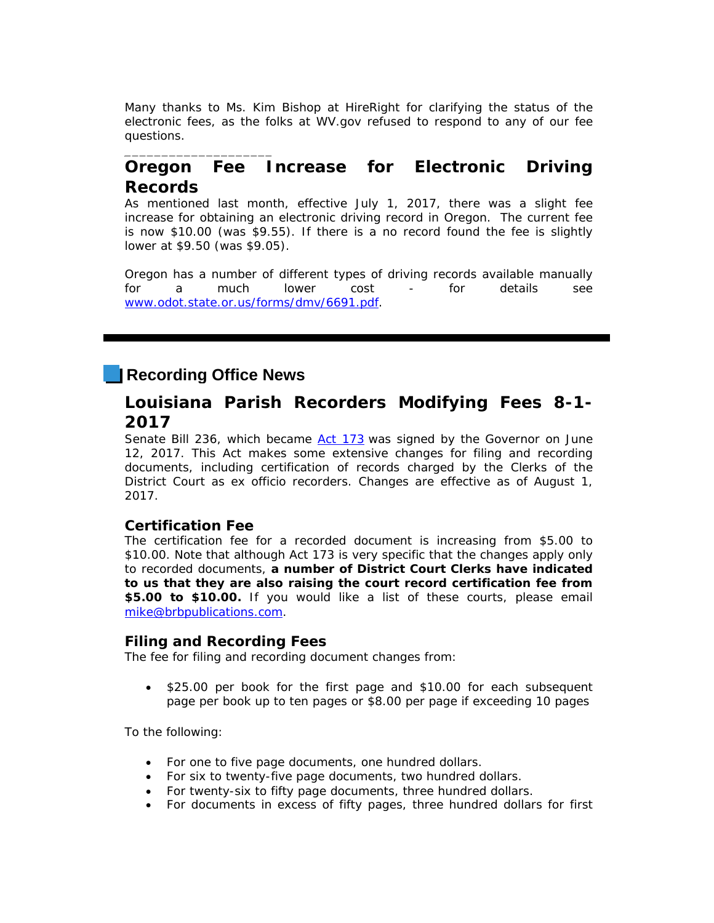Many thanks to Ms. Kim Bishop at HireRight for clarifying the status of the electronic fees, as the folks at WV.gov refused to respond to any of our fee questions.

### **Oregon Fee Increase for Electronic Driving Records**

As mentioned last month, effective July 1, 2017, there was a slight fee increase for obtaining an electronic driving record in Oregon. The current fee is now \$10.00 (was \$9.55). If there is a no record found the fee is slightly lower at \$9.50 (was \$9.05).

Oregon has a number of different types of driving records available manually for a much lower cost - for details see [www.odot.state.or.us/forms/dmv/6691.pdf.](http://r20.rs6.net/tn.jsp?f=001-rYn5b15oTP-wOqJRHTH4oyoN_peLoK56A3xqtk0AS8Ol-O1D3xrz3Qdkod4ESwKSkQN5Wi3tcuL2fNyhfeL3MpvBagtwrnfkTd263EXCbIyCHRaxUXrwIjr1mfDUzfRphHe4szj4PdF8wPs8zzQdFhbtAr4Xnge-cubWM4OZxgiES5hXHXIH_VAE8O9oDGuBnZqd6E6a-e9ATGcMwhZ3A==&c=Px2YVoTsEax5_9CilMw73Q14IvI9q6xA0KNOef3D6AEIo-Xb_2wq8Q==&ch=v2E3K0616xM506h3cArp8L84wXuFwENL1RdpYi3fBjiwooAUMDP8kg==)

### **Recording Office News**

\_\_\_\_\_\_\_\_\_\_\_\_\_\_\_\_\_\_\_\_

### **Louisiana Parish Recorders Modifying Fees 8-1- 2017**

Senate Bill 236, which became [Act 173](http://r20.rs6.net/tn.jsp?f=001-rYn5b15oTP-wOqJRHTH4oyoN_peLoK56A3xqtk0AS8Ol-O1D3xrz_DHCa7cmlq7MclZWy9dAFMEoDqS3grB6Zgamm4EHujxtkN-0ntofx-SzkGCSuE796jhgx7sMMeWIBeffBqO3xYUtPKZ1eemCGCo-UahcL1o6AMzR5YNuU4aOizs4WQwijUy0JiQ9jaLT_LDQjFfGT6dW10Yf5KaYAlRAw0zm2Yv&c=Px2YVoTsEax5_9CilMw73Q14IvI9q6xA0KNOef3D6AEIo-Xb_2wq8Q==&ch=v2E3K0616xM506h3cArp8L84wXuFwENL1RdpYi3fBjiwooAUMDP8kg==) was signed by the Governor on June 12, 2017. This Act makes some extensive changes for filing and recording documents, including certification of records charged by the Clerks of the District Court as ex officio recorders. Changes are effective as of August 1, 2017.

### **Certification Fee**

The certification fee for a recorded document is increasing from \$5.00 to \$10.00. Note that although Act 173 is very specific that the changes apply only to recorded documents, **a number of District Court Clerks have indicated to us that they are also raising the court record certification fee from \$5.00 to \$10.00.** If you would like a list of these courts, please email [mike@brbpublications.com.](mailto:mike@brbpublications.com)

### **Filing and Recording Fees**

The fee for filing and recording document changes from:

• \$25.00 per book for the first page and \$10.00 for each subsequent page per book up to ten pages or \$8.00 per page if exceeding 10 pages

To the following:

- For one to five page documents, one hundred dollars.
- For six to twenty-five page documents, two hundred dollars.
- For twenty-six to fifty page documents, three hundred dollars.
- For documents in excess of fifty pages, three hundred dollars for first